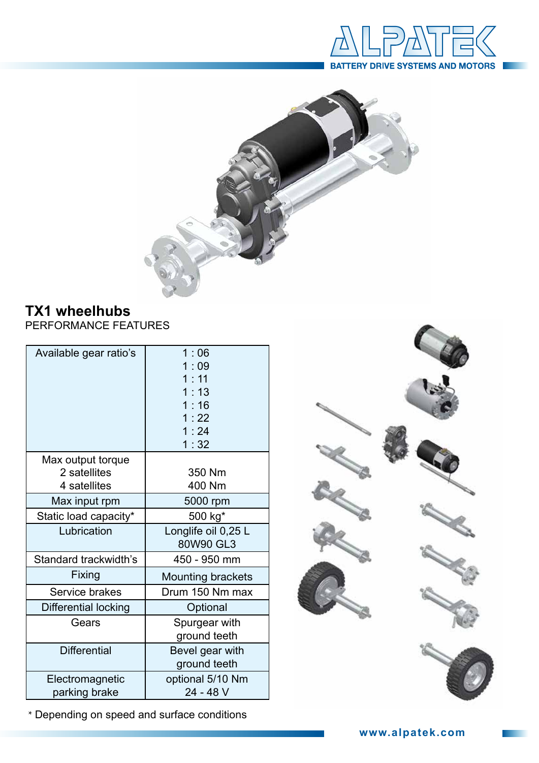



## **TX1 wheelhubs**

PERFORMANCE FEATURES

| Available gear ratio's                            | 1:06<br>1:09<br>1:11<br>1:13<br>1:16<br>1:22<br>1:24<br>1:32 |  |  |  |
|---------------------------------------------------|--------------------------------------------------------------|--|--|--|
| Max output torque<br>2 satellites<br>4 satellites | 350 Nm<br>400 Nm                                             |  |  |  |
| Max input rpm                                     | 5000 rpm                                                     |  |  |  |
| Static load capacity*                             | 500 kg*                                                      |  |  |  |
| Lubrication                                       | Longlife oil 0,25 L<br>80W90 GL3                             |  |  |  |
| Standard trackwidth's                             | 450 - 950 mm                                                 |  |  |  |
| Fixing                                            | <b>Mounting brackets</b>                                     |  |  |  |
| Service brakes                                    | Drum 150 Nm max                                              |  |  |  |
| Differential locking                              | Optional                                                     |  |  |  |
| Gears                                             | Spurgear with<br>ground teeth                                |  |  |  |
| <b>Differential</b>                               | Bevel gear with<br>ground teeth                              |  |  |  |
| Electromagnetic<br>parking brake                  | optional 5/10 Nm<br>24 - 48 V                                |  |  |  |

\* Depending on speed and surface conditions



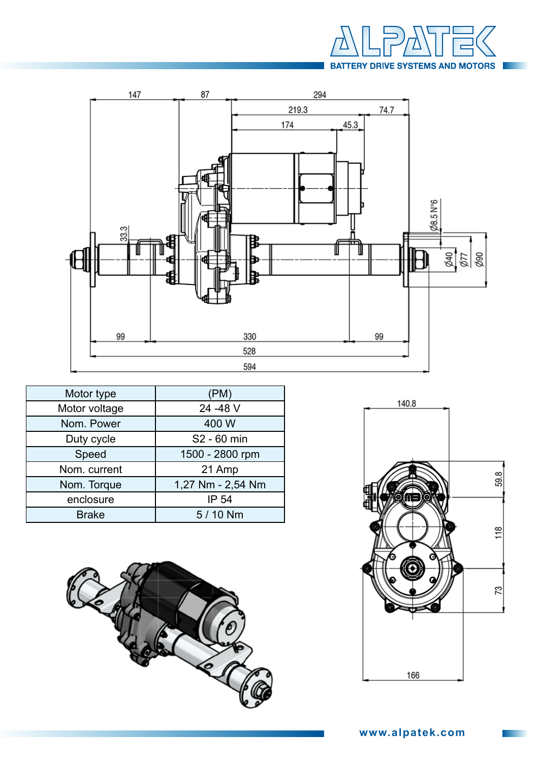



| Motor type    | (PM)              |  |  |  |
|---------------|-------------------|--|--|--|
| Motor voltage | 24 - 48 V         |  |  |  |
| Nom. Power    | 400 W             |  |  |  |
| Duty cycle    | S2 - 60 min       |  |  |  |
| Speed         | 1500 - 2800 rpm   |  |  |  |
| Nom. current  | 21 Amp            |  |  |  |
| Nom. Torque   | 1,27 Nm - 2,54 Nm |  |  |  |
| enclosure     | IP 54             |  |  |  |
| <b>Brake</b>  | 5 / 10 Nm         |  |  |  |



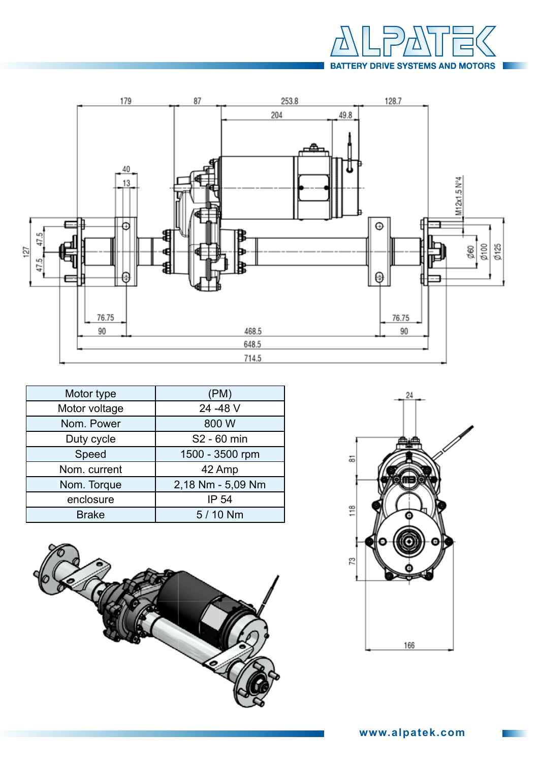



| Motor type    | (PM)              |  |  |  |
|---------------|-------------------|--|--|--|
| Motor voltage | 24 - 48 V         |  |  |  |
| Nom. Power    | 800 W             |  |  |  |
| Duty cycle    | S2 - 60 min       |  |  |  |
| Speed         | 1500 - 3500 rpm   |  |  |  |
| Nom. current  | 42 Amp            |  |  |  |
| Nom. Torque   | 2,18 Nm - 5,09 Nm |  |  |  |
| enclosure     | IP 54             |  |  |  |
| <b>Brake</b>  | 5 / 10 Nm         |  |  |  |



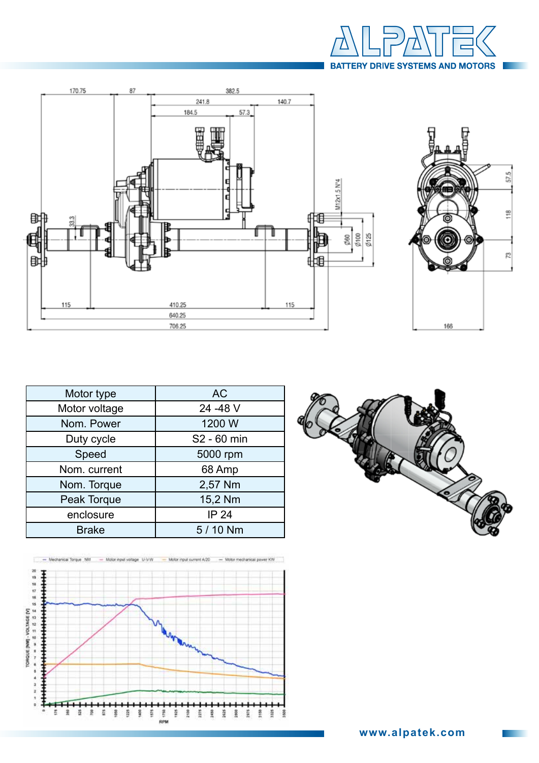





| Motor type    | <b>AC</b>    |  |  |  |  |
|---------------|--------------|--|--|--|--|
| Motor voltage | 24 - 48 V    |  |  |  |  |
| Nom. Power    | 1200 W       |  |  |  |  |
| Duty cycle    | S2 - 60 min  |  |  |  |  |
| Speed         | 5000 rpm     |  |  |  |  |
| Nom. current  | 68 Amp       |  |  |  |  |
| Nom. Torque   | 2,57 Nm      |  |  |  |  |
| Peak Torque   | 15,2 Nm      |  |  |  |  |
| enclosure     | <b>IP 24</b> |  |  |  |  |
| <b>Brake</b>  | 5 / 10 Nm    |  |  |  |  |



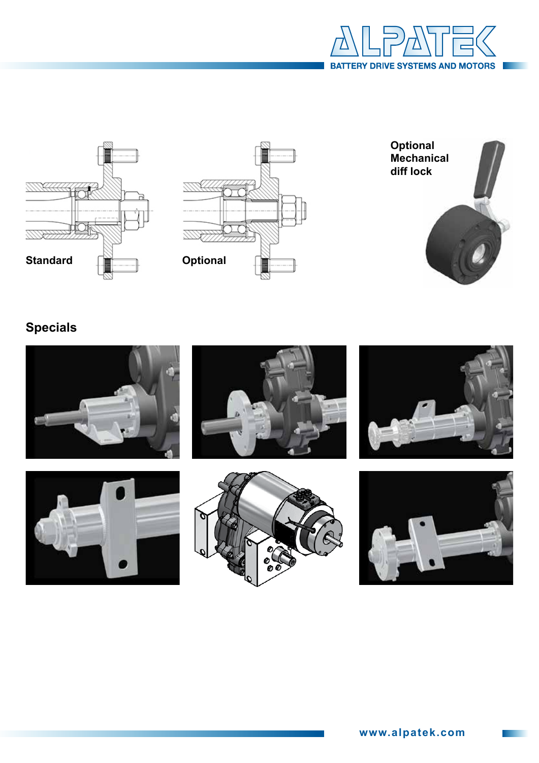







## **Specials**











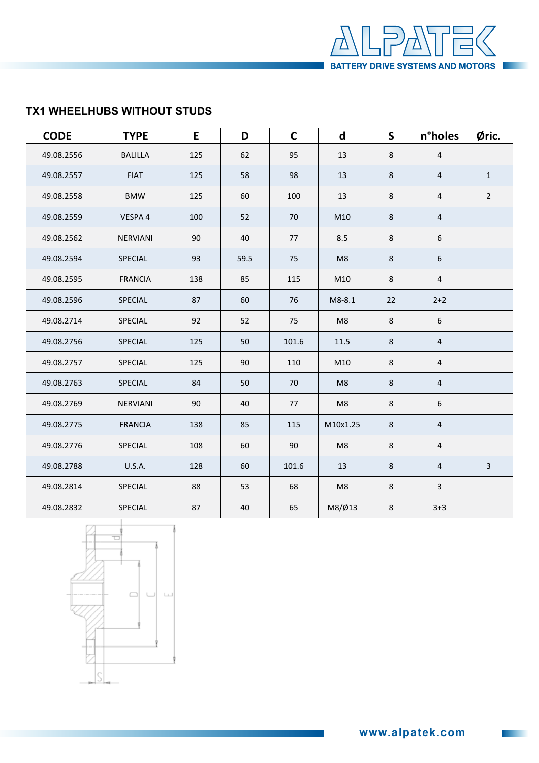

## **AX1 WHEELHUBS WITHOUT STUDS TX1 WHEELHUBS WITHOUT STUDS**

| <b>CODE</b> | <b>TYPE</b>     | E   | D    | $\mathsf{C}$ | $\mathsf{d}$                                                                  | $\mathsf{S}$                       | n°holes                 | Øric.          |
|-------------|-----------------|-----|------|--------------|-------------------------------------------------------------------------------|------------------------------------|-------------------------|----------------|
| 49.08.2556  | <b>BALILLA</b>  | 125 | 62   | 95           | 13                                                                            | $\,8\,$                            | $\overline{4}$          |                |
| 49.08.2557  | <b>FIAT</b>     | 125 | 58   | 98           | 13                                                                            | 8                                  | $\overline{4}$          | $\mathbf{1}$   |
| 49.08.2558  | <b>BMW</b>      | 125 | 60   | 100          | 13                                                                            | 8                                  | $\overline{\mathbf{4}}$ | $\overline{2}$ |
| 49.08.2559  | VESPA 4         | 100 | 52   | 70           | M10                                                                           | 8                                  | 4                       |                |
| 49.08.2562  | NERVIANI        | 90  | 40   | 77           | 8.5<br>8<br>6<br>8<br>6<br>M <sub>8</sub><br>$\,8\,$<br>M10<br>$\overline{a}$ |                                    |                         |                |
| 49.08.2594  | SPECIAL         | 93  | 59.5 | 75           |                                                                               |                                    |                         |                |
| 49.08.2595  | <b>FRANCIA</b>  | 138 | 85   | 115          |                                                                               |                                    |                         |                |
| 49.08.2596  | SPECIAL         | 87  | 60   | 76           | M8-8.1                                                                        | 22                                 | $2+2$                   |                |
| 49.08.2714  | SPECIAL         | 92  | 52   | 75           | M8                                                                            | $\,8\,$                            | $6\phantom{.}$          |                |
| 49.08.2756  | SPECIAL         | 125 | 50   | 101.6        | $11.5\,$                                                                      | 8                                  | $\overline{4}$          |                |
| 49.08.2757  | SPECIAL         | 125 | 90   | 110          | M10                                                                           | $\,8\,$<br>$\overline{\mathbf{4}}$ |                         |                |
| 49.08.2763  | SPECIAL         | 84  | 50   | 70           | M8                                                                            | $\,8\,$                            | $\overline{4}$          |                |
| 49.08.2769  | <b>NERVIANI</b> | 90  | 40   | 77           | M8                                                                            | $\,8\,$                            | 6                       |                |
| 49.08.2775  | <b>FRANCIA</b>  | 138 | 85   | 115          | M10x1.25                                                                      | $\,8\,$                            | 4                       |                |
| 49.08.2776  | SPECIAL         | 108 | 60   | 90           | M8                                                                            | 8                                  | $\overline{4}$          |                |
| 49.08.2788  | <b>U.S.A.</b>   | 128 | 60   | 101.6        | 13                                                                            | 8                                  | $\overline{4}$          | $\overline{3}$ |
| 49.08.2814  | SPECIAL         | 88  | 53   | 68           | M8                                                                            | $\,8\,$                            | $\overline{3}$          |                |
| 49.08.2832  | SPECIAL         | 87  | 40   | 65           | M8/Ø13                                                                        | $\,8\,$                            | $3 + 3$                 |                |